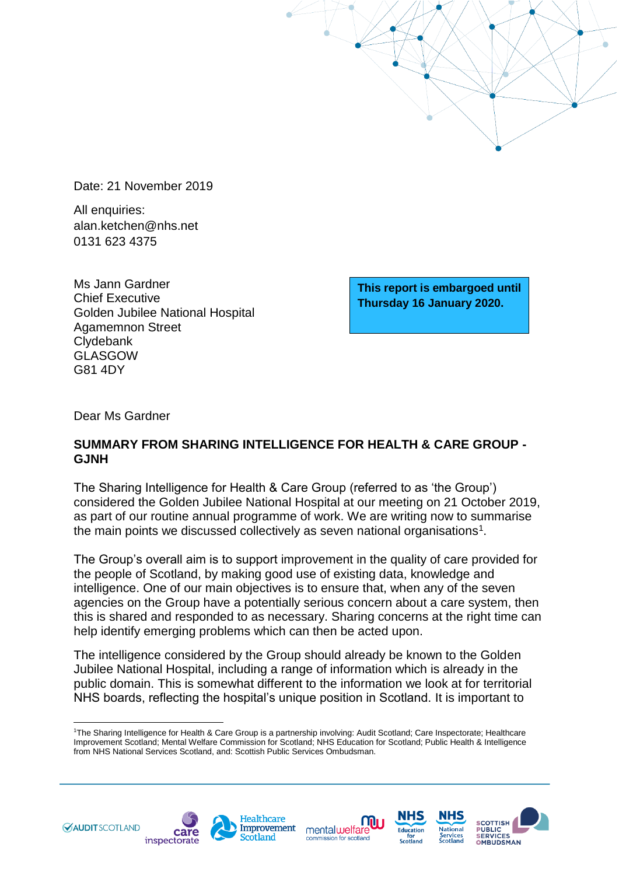Date: 21 November 2019

All enquiries: alan.ketchen@nhs.net 0131 623 4375

Ms Jann Gardner Chief Executive Golden Jubilee National Hospital Agamemnon Street Clydebank GLASGOW G81 4DY

**This report is embargoed until Thursday 16 January 2020.**

Dear Ms Gardner

## **SUMMARY FROM SHARING INTELLIGENCE FOR HEALTH & CARE GROUP - GJNH**

The Sharing Intelligence for Health & Care Group (referred to as 'the Group') considered the Golden Jubilee National Hospital at our meeting on 21 October 2019, as part of our routine annual programme of work. We are writing now to summarise the main points we discussed collectively as seven national organisations<sup>1</sup>.

The Group's overall aim is to support improvement in the quality of care provided for the people of Scotland, by making good use of existing data, knowledge and intelligence. One of our main objectives is to ensure that, when any of the seven agencies on the Group have a potentially serious concern about a care system, then this is shared and responded to as necessary. Sharing concerns at the right time can help identify emerging problems which can then be acted upon.

The intelligence considered by the Group should already be known to the Golden Jubilee National Hospital, including a range of information which is already in the public domain. This is somewhat different to the information we look at for territorial NHS boards, reflecting the hospital's unique position in Scotland. It is important to







 $\overline{\phantom{a}}$ <sup>1</sup>The Sharing Intelligence for Health & Care Group is a partnership involving: Audit Scotland; Care Inspectorate; Healthcare Improvement Scotland; Mental Welfare Commission for Scotland; NHS Education for Scotland; Public Health & Intelligence from NHS National Services Scotland, and: Scottish Public Services Ombudsman.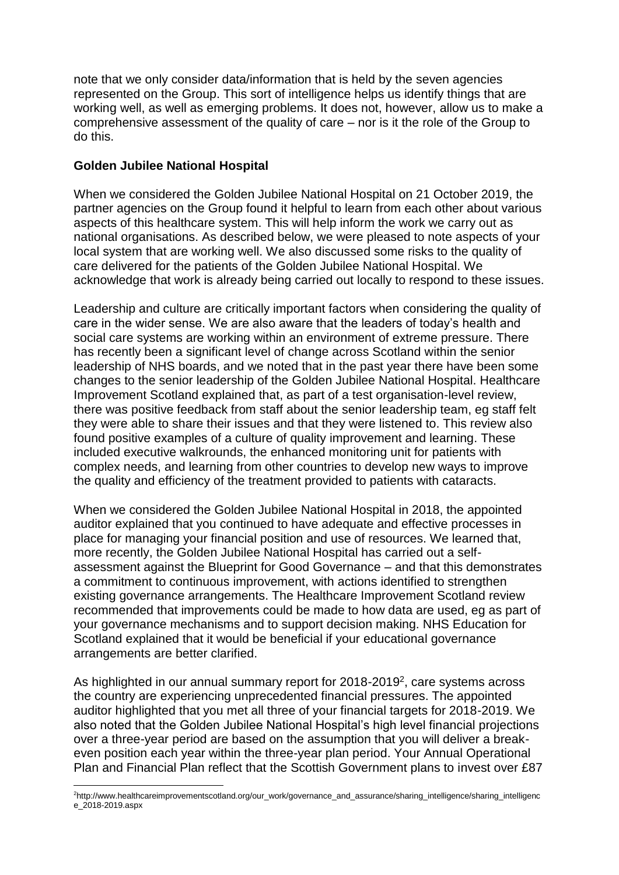note that we only consider data/information that is held by the seven agencies represented on the Group. This sort of intelligence helps us identify things that are working well, as well as emerging problems. It does not, however, allow us to make a comprehensive assessment of the quality of care – nor is it the role of the Group to do this.

## **Golden Jubilee National Hospital**

 $\overline{\phantom{a}}$ 

When we considered the Golden Jubilee National Hospital on 21 October 2019, the partner agencies on the Group found it helpful to learn from each other about various aspects of this healthcare system. This will help inform the work we carry out as national organisations. As described below, we were pleased to note aspects of your local system that are working well. We also discussed some risks to the quality of care delivered for the patients of the Golden Jubilee National Hospital. We acknowledge that work is already being carried out locally to respond to these issues.

Leadership and culture are critically important factors when considering the quality of care in the wider sense. We are also aware that the leaders of today's health and social care systems are working within an environment of extreme pressure. There has recently been a significant level of change across Scotland within the senior leadership of NHS boards, and we noted that in the past year there have been some changes to the senior leadership of the Golden Jubilee National Hospital. Healthcare Improvement Scotland explained that, as part of a test organisation-level review, there was positive feedback from staff about the senior leadership team, eg staff felt they were able to share their issues and that they were listened to. This review also found positive examples of a culture of quality improvement and learning. These included executive walkrounds, the enhanced monitoring unit for patients with complex needs, and learning from other countries to develop new ways to improve the quality and efficiency of the treatment provided to patients with cataracts.

When we considered the Golden Jubilee National Hospital in 2018, the appointed auditor explained that you continued to have adequate and effective processes in place for managing your financial position and use of resources. We learned that, more recently, the Golden Jubilee National Hospital has carried out a selfassessment against the Blueprint for Good Governance – and that this demonstrates a commitment to continuous improvement, with actions identified to strengthen existing governance arrangements. The Healthcare Improvement Scotland review recommended that improvements could be made to how data are used, eg as part of your governance mechanisms and to support decision making. NHS Education for Scotland explained that it would be beneficial if your educational governance arrangements are better clarified.

As highlighted in our annual summary report for  $2018-2019^2$ , care systems across the country are experiencing unprecedented financial pressures. The appointed auditor highlighted that you met all three of your financial targets for 2018-2019. We also noted that the Golden Jubilee National Hospital's high level financial projections over a three-year period are based on the assumption that you will deliver a breakeven position each year within the three-year plan period. Your Annual Operational Plan and Financial Plan reflect that the Scottish Government plans to invest over £87

<sup>2</sup>http://www.healthcareimprovementscotland.org/our\_work/governance\_and\_assurance/sharing\_intelligence/sharing\_intelligenc e\_2018-2019.aspx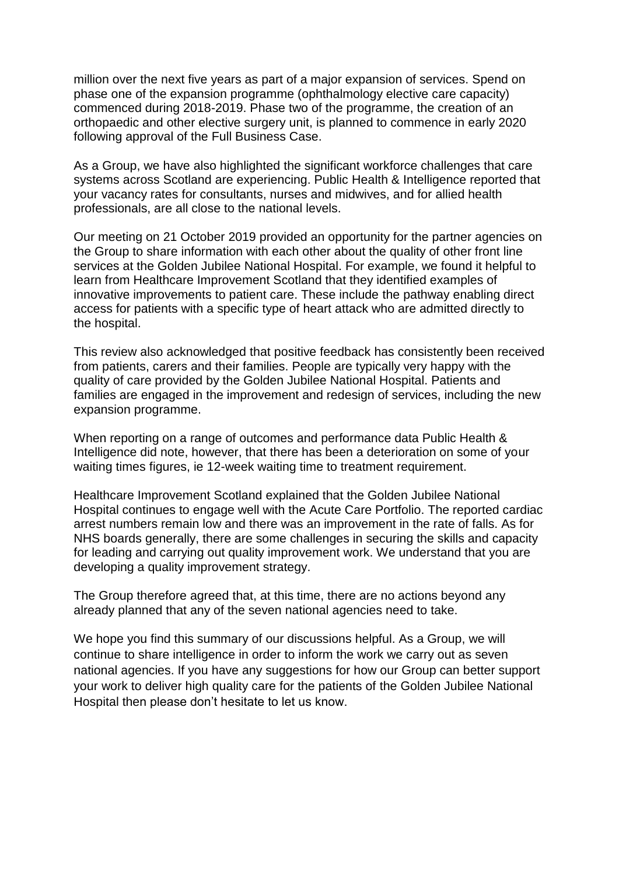million over the next five years as part of a major expansion of services. Spend on phase one of the expansion programme (ophthalmology elective care capacity) commenced during 2018-2019. Phase two of the programme, the creation of an orthopaedic and other elective surgery unit, is planned to commence in early 2020 following approval of the Full Business Case.

As a Group, we have also highlighted the significant workforce challenges that care systems across Scotland are experiencing. Public Health & Intelligence reported that your vacancy rates for consultants, nurses and midwives, and for allied health professionals, are all close to the national levels.

Our meeting on 21 October 2019 provided an opportunity for the partner agencies on the Group to share information with each other about the quality of other front line services at the Golden Jubilee National Hospital. For example, we found it helpful to learn from Healthcare Improvement Scotland that they identified examples of innovative improvements to patient care. These include the pathway enabling direct access for patients with a specific type of heart attack who are admitted directly to the hospital.

This review also acknowledged that positive feedback has consistently been received from patients, carers and their families. People are typically very happy with the quality of care provided by the Golden Jubilee National Hospital. Patients and families are engaged in the improvement and redesign of services, including the new expansion programme.

When reporting on a range of outcomes and performance data Public Health & Intelligence did note, however, that there has been a deterioration on some of your waiting times figures, ie 12-week waiting time to treatment requirement.

Healthcare Improvement Scotland explained that the Golden Jubilee National Hospital continues to engage well with the Acute Care Portfolio. The reported cardiac arrest numbers remain low and there was an improvement in the rate of falls. As for NHS boards generally, there are some challenges in securing the skills and capacity for leading and carrying out quality improvement work. We understand that you are developing a quality improvement strategy.

The Group therefore agreed that, at this time, there are no actions beyond any already planned that any of the seven national agencies need to take.

We hope you find this summary of our discussions helpful. As a Group, we will continue to share intelligence in order to inform the work we carry out as seven national agencies. If you have any suggestions for how our Group can better support your work to deliver high quality care for the patients of the Golden Jubilee National Hospital then please don't hesitate to let us know.